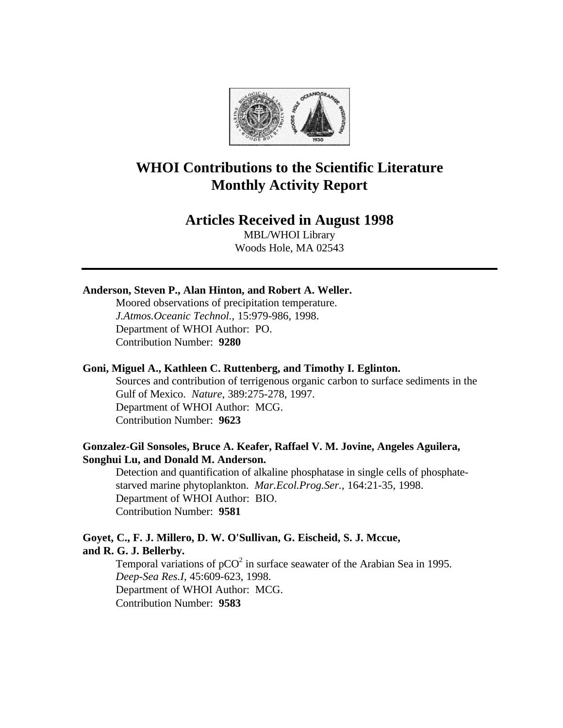

# **WHOI Contributions to the Scientific Literature Monthly Activity Report**

# **Articles Received in August 1998**

MBL/WHOI Library Woods Hole, MA 02543

## **Anderson, Steven P., Alan Hinton, and Robert A. Weller.**

Moored observations of precipitation temperature. *J.Atmos.Oceanic Technol.*, 15:979-986, 1998. Department of WHOI Author: PO. Contribution Number: **9280**

#### **Goni, Miguel A., Kathleen C. Ruttenberg, and Timothy I. Eglinton.**

Sources and contribution of terrigenous organic carbon to surface sediments in the Gulf of Mexico. *Nature*, 389:275-278, 1997. Department of WHOI Author: MCG. Contribution Number: **9623**

# **Gonzalez-Gil Sonsoles, Bruce A. Keafer, Raffael V. M. Jovine, Angeles Aguilera, Songhui Lu, and Donald M. Anderson.**

Detection and quantification of alkaline phosphatase in single cells of phosphatestarved marine phytoplankton. *Mar.Ecol.Prog.Ser.*, 164:21-35, 1998. Department of WHOI Author: BIO. Contribution Number: **9581**

# **Goyet, C., F. J. Millero, D. W. O'Sullivan, G. Eischeid, S. J. Mccue, and R. G. J. Bellerby.**

Temporal variations of  $pCO<sup>2</sup>$  in surface seawater of the Arabian Sea in 1995. *Deep-Sea Res.I*, 45:609-623, 1998. Department of WHOI Author: MCG. Contribution Number: **9583**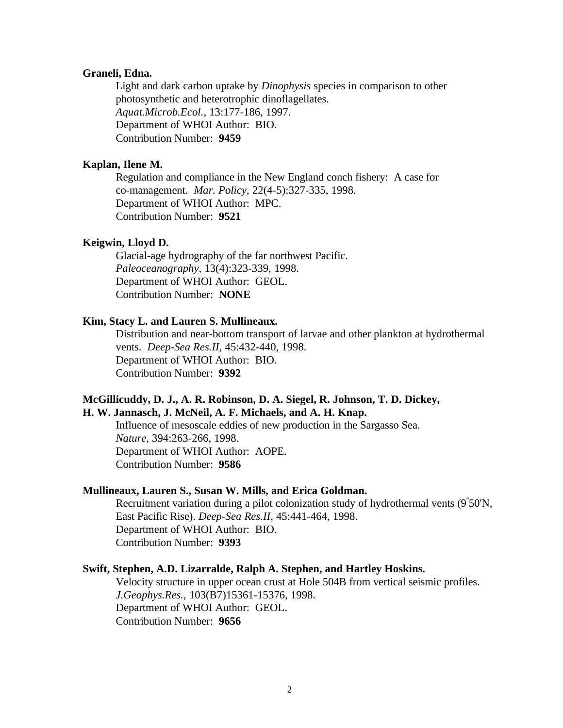#### **Graneli, Edna.**

Light and dark carbon uptake by *Dinophysis* species in comparison to other photosynthetic and heterotrophic dinoflagellates. *Aquat.Microb.Ecol.*, 13:177-186, 1997. Department of WHOI Author: BIO. Contribution Number: **9459**

#### **Kaplan, Ilene M.**

Regulation and compliance in the New England conch fishery: A case for co-management. *Mar. Policy*, 22(4-5):327-335, 1998. Department of WHOI Author: MPC. Contribution Number: **9521**

#### **Keigwin, Lloyd D.**

Glacial-age hydrography of the far northwest Pacific. *Paleoceanography*, 13(4):323-339, 1998. Department of WHOI Author: GEOL. Contribution Number: **NONE**

#### **Kim, Stacy L. and Lauren S. Mullineaux.**

Distribution and near-bottom transport of larvae and other plankton at hydrothermal vents. *Deep-Sea Res.II*, 45:432-440, 1998. Department of WHOI Author: BIO. Contribution Number: **9392**

# **McGillicuddy, D. J., A. R. Robinson, D. A. Siegel, R. Johnson, T. D. Dickey,**

# **H. W. Jannasch, J. McNeil, A. F. Michaels, and A. H. Knap.**

Influence of mesoscale eddies of new production in the Sargasso Sea. *Nature*, 394:263-266, 1998. Department of WHOI Author: AOPE. Contribution Number: **9586**

#### **Mullineaux, Lauren S., Susan W. Mills, and Erica Goldman.**

Recruitment variation during a pilot colonization study of hydrothermal vents (9° 50'N, East Pacific Rise). *Deep-Sea Res.II*, 45:441-464, 1998. Department of WHOI Author: BIO. Contribution Number: **9393**

#### **Swift, Stephen, A.D. Lizarralde, Ralph A. Stephen, and Hartley Hoskins.**

Velocity structure in upper ocean crust at Hole 504B from vertical seismic profiles. *J.Geophys.Res.*, 103(B7)15361-15376, 1998. Department of WHOI Author: GEOL. Contribution Number: **9656**